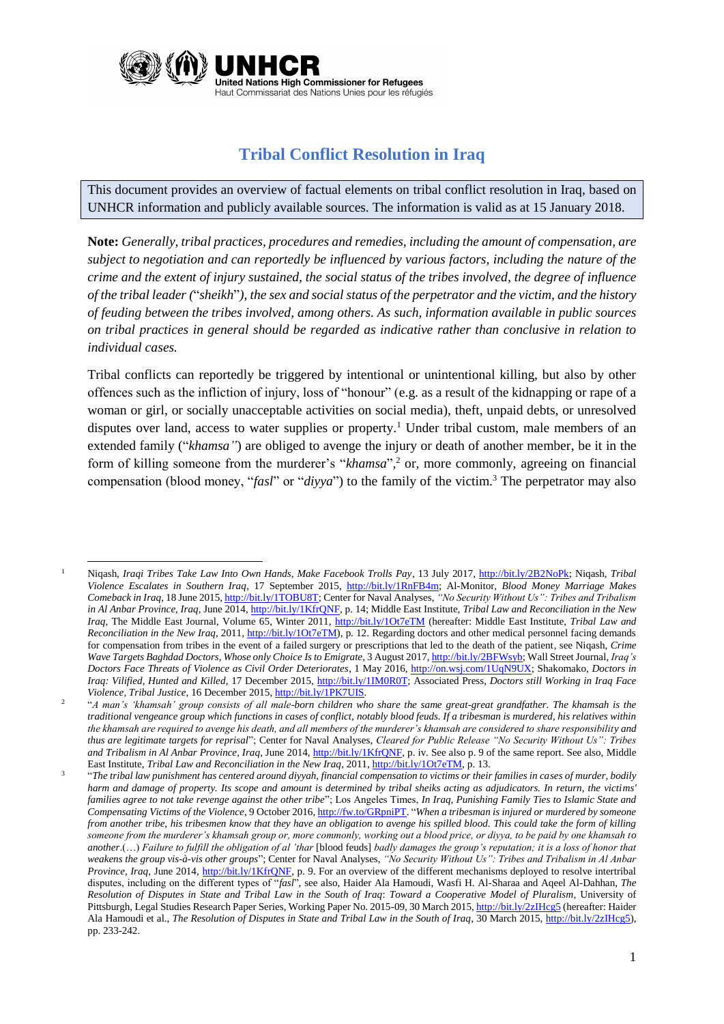

## **Tribal Conflict Resolution in Iraq**

This document provides an overview of factual elements on tribal conflict resolution in Iraq, based on UNHCR information and publicly available sources. The information is valid as at 15 January 2018.

**Note:** *Generally, tribal practices, procedures and remedies, including the amount of compensation, are subject to negotiation and can reportedly be influenced by various factors, including the nature of the crime and the extent of injury sustained, the social status of the tribes involved, the degree of influence of the tribal leader (*"*sheikh*"*), the sex and social status of the perpetrator and the victim, and the history of feuding between the tribes involved, among others. As such, information available in public sources on tribal practices in general should be regarded as indicative rather than conclusive in relation to individual cases.*

Tribal conflicts can reportedly be triggered by intentional or unintentional killing, but also by other offences such as the infliction of injury, loss of "honour" (e.g. as a result of the kidnapping or rape of a woman or girl, or socially unacceptable activities on social media), theft, unpaid debts, or unresolved disputes over land, access to water supplies or property.<sup>1</sup> Under tribal custom, male members of an extended family ("*khamsa"*) are obliged to avenge the injury or death of another member, be it in the form of killing someone from the murderer's "*khamsa*"*,* <sup>2</sup> or, more commonly, agreeing on financial compensation (blood money, "*fasl*" or "*diyya*") to the family of the victim. <sup>3</sup> The perpetrator may also

2

**<sup>.</sup>** <sup>1</sup> Niqash, *Iraqi Tribes Take Law Into Own Hands, Make Facebook Trolls Pay*, 13 July 2017, [http://bit.ly/2B2NoPk;](http://bit.ly/2B2NoPk) Niqash, *Tribal Violence Escalates in Southern Iraq*, 17 September 2015, [http://bit.ly/1RnFB4m;](http://bit.ly/1RnFB4m) Al-Monitor, *Blood Money Marriage Makes Comeback in Iraq*, 18 June 2015[, http://bit.ly/1TOBU8T;](http://almon.co/2gcy) Center for Naval Analyses, *"No Security Without Us": Tribes and Tribalism in Al Anbar Province, Iraq*, June 2014[, http://bit.ly/1KfrQNF,](http://bit.ly/1KfrQNF) p. 14; Middle East Institute, *Tribal Law and Reconciliation in the New Iraq*, The Middle East Journal, Volume 65, Winter 2011,<http://bit.ly/1Ot7eTM> (hereafter: Middle East Institute, *Tribal Law and Reconciliation in the New Iraq*, 2011, [http://bit.ly/1Ot7eTM\)](http://bit.ly/1Ot7eTM), p. 12. Regarding doctors and other medical personnel facing demands for compensation from tribes in the event of a failed surgery or prescriptions that led to the death of the patient, see Niqash, *Crime Wave Targets Baghdad Doctors, Whose only Choice Is to Emigrate*, 3 August 2017[, http://bit.ly/2BFWsyb;](http://bit.ly/2BFWsyb) Wall Street Journal, *Iraq's Doctors Face Threats of Violence as Civil Order Deteriorates*, 1 May 2016, [http://on.wsj.com/1UqN9UX;](http://on.wsj.com/1UqN9UX) Shakomako, *Doctors in Iraq: Vilified, Hunted and Killed*, 17 December 2015[, http://bit.ly/1IM0R0T;](http://bit.ly/1IM0R0T) Associated Press, *Doctors still Working in Iraq Face Violence, Tribal Justice*, 16 December 2015[, http://bit.ly/1PK7UIS.](http://bit.ly/1PK7UIS)

<sup>&</sup>quot;*A man's 'khamsah' group consists of all male-born children who share the same great-great grandfather. The khamsah is the traditional vengeance group which functions in cases of conflict, notably blood feuds. If a tribesman is murdered, his relatives within the khamsah are required to avenge his death, and all members of the murderer's khamsah are considered to share responsibility and thus are legitimate targets for reprisal*"; Center for Naval Analyses, *Cleared for Public Release "No Security Without Us": Tribes and Tribalism in Al Anbar Province, Iraq*, June 2014[, http://bit.ly/1KfrQNF,](http://bit.ly/1KfrQNF) p. iv. See also p. 9 of the same report. See also, Middle East Institute, *Tribal Law and Reconciliation in the New Iraq*, 2011[, http://bit.ly/1Ot7eTM,](http://bit.ly/1Ot7eTM) p. 13.

<sup>3</sup> "*The tribal law punishment has centered around diyyah, financial compensation to victims or their families in cases of murder, bodily harm and damage of property. Its scope and amount is determined by tribal sheiks acting as adjudicators. In return, the victims' families agree to not take revenge against the other tribe*"; Los Angeles Times, *In Iraq, Punishing Family Ties to Islamic State and Compensating Victims of the Violence*, 9 October 2016[, http://fw.to/GRpniPT.](http://fw.to/GRpniPT) "*When a tribesman is injured or murdered by someone from another tribe, his tribesmen know that they have an obligation to avenge his spilled blood. This could take the form of killing someone from the murderer's khamsah group or, more commonly, working out a blood price, or diyya, to be paid by one khamsah to another*.(…) *Failure to fulfill the obligation of al 'thar* [blood feuds] *badly damages the group's reputation; it is a loss of honor that weakens the group vis-à-vis other groups*"; Center for Naval Analyses, *"No Security Without Us": Tribes and Tribalism in Al Anbar Province, Iraq*, June 2014, [http://bit.ly/1KfrQNF,](http://bit.ly/1KfrQNF) p. 9. For an overview of the different mechanisms deployed to resolve intertribal disputes, including on the different types of "*fasl*", see also, Haider Ala Hamoudi, Wasfi H. Al-Sharaa and Aqeel Al-Dahhan, *The Resolution of Disputes in State and Tribal Law in the South of Iraq*: *Toward a Cooperative Model of Pluralism*, University of Pittsburgh, Legal Studies Research Paper Series, Working Paper No. 2015-09, 30 March 2015[, http://bit.ly/2zIHcg5](http://bit.ly/2zIHcg5) (hereafter: Haider Ala Hamoudi et al., *The Resolution of Disputes in State and Tribal Law in the South of Iraq*, 30 March 2015[, http://bit.ly/2zIHcg5\)](http://bit.ly/2zIHcg5), pp. 233-242.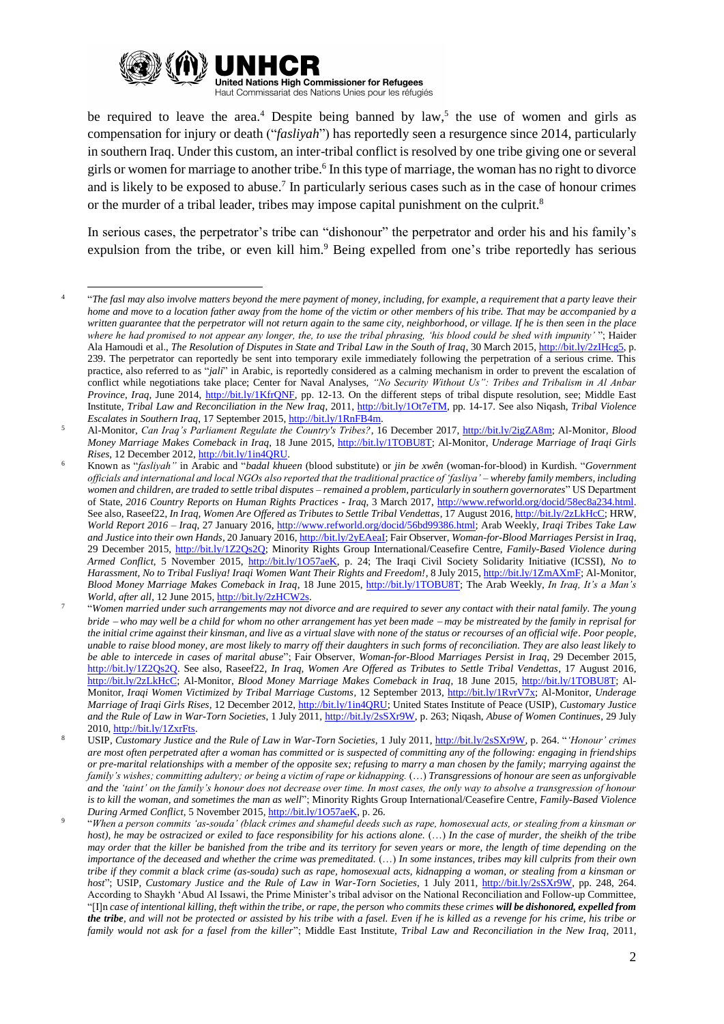

be required to leave the area.<sup>4</sup> Despite being banned by  $law<sub>1</sub>$ , the use of women and girls as compensation for injury or death ("*fasliyah*") has reportedly seen a resurgence since 2014, particularly in southern Iraq. Under this custom, an inter-tribal conflict is resolved by one tribe giving one or several girls or women for marriage to another tribe. 6 In this type of marriage, the woman has no right to divorce and is likely to be exposed to abuse.<sup>7</sup> In particularly serious cases such as in the case of honour crimes or the murder of a tribal leader, tribes may impose capital punishment on the culprit.<sup>8</sup>

In serious cases, the perpetrator's tribe can "dishonour" the perpetrator and order his and his family's expulsion from the tribe, or even kill him.<sup>9</sup> Being expelled from one's tribe reportedly has serious

<sup>1</sup> 4 "*The fasl may also involve matters beyond the mere payment of money, including, for example, a requirement that a party leave their home and move to a location father away from the home of the victim or other members of his tribe. That may be accompanied by a written guarantee that the perpetrator will not return again to the same city, neighborhood, or village. If he is then seen in the place where he had promised to not appear any longer, the, to use the tribal phrasing, 'his blood could be shed with impunity'* "; Haider Ala Hamoudi et al., *The Resolution of Disputes in State and Tribal Law in the South of Iraq*, 30 March 2015[, http://bit.ly/2zIHcg5,](http://bit.ly/2zIHcg5) p. 239. The perpetrator can reportedly be sent into temporary exile immediately following the perpetration of a serious crime. This practice, also referred to as "*jali*" in Arabic, is reportedly considered as a calming mechanism in order to prevent the escalation of conflict while negotiations take place; Center for Naval Analyses, *"No Security Without Us": Tribes and Tribalism in Al Anbar Province, Iraq*, June 2014, [http://bit.ly/1KfrQNF,](http://bit.ly/1KfrQNF) pp. 12-13. On the different steps of tribal dispute resolution, see; Middle East Institute, *Tribal Law and Reconciliation in the New Iraq*, 2011[, http://bit.ly/1Ot7eTM,](http://bit.ly/1Ot7eTM) pp. 14-17. See also Niqash, *Tribal Violence Escalates in Southern Iraq*, 17 September 2015[, http://bit.ly/1RnFB4m.](http://bit.ly/1RnFB4m)

<sup>5</sup> Al-Monitor, *Can Iraq's Parliament Regulate the Country's Tribes?*, 16 December 2017, [http://bit.ly/2igZA8m;](http://bit.ly/2igZA8m) Al-Monitor, *Blood Money Marriage Makes Comeback in Iraq*, 18 June 2015, [http://bit.ly/1TOBU8T;](http://almon.co/2gcy) Al-Monitor, *Underage Marriage of Iraqi Girls Rises*, 12 December 2012[, http://bit.ly/1in4QRU.](http://almon.co/4bu)

<sup>6</sup> Known as "*fasliyah"* in Arabic and "*badal khueen* (blood substitute) or *jin be xwên* (woman-for-blood) in Kurdish. "*Government officials and international and local NGOs also reported that the traditional practice of 'fasliya' – whereby family members, including women and children, are traded to settle tribal disputes – remained a problem, particularly in southern governorates*" US Department of State, *2016 Country Reports on Human Rights Practices - Iraq*, 3 March 2017, [http://www.refworld.org/docid/58ec8a234.html.](http://www.refworld.org/docid/58ec8a234.html) See also, Raseef22, *In Iraq, Women Are Offered as Tributes to Settle Tribal Vendettas*, 17 August 2016[, http://bit.ly/2zLkHcC;](http://bit.ly/2zLkHcC) HRW, *World Report 2016 – Iraq*, 27 January 2016, [http://www.refworld.org/docid/56bd99386.html;](http://www.refworld.org/docid/56bd99386.html) Arab Weekly, *Iraqi Tribes Take Law and Justice into their own Hands*, 20 January 2016[, http://bit.ly/2yEAeaI;](http://bit.ly/2yEAeaI) Fair Observer, *Woman-for-Blood Marriages Persist in Iraq*, 29 December 2015, [http://bit.ly/1Z2Qs2Q;](http://bit.ly/1Z2Qs2Q) Minority Rights Group International/Ceasefire Centre, *Family-Based Violence during Armed Conflict*, 5 November 2015, [http://bit.ly/1O57aeK,](http://bit.ly/1O57aeK) p. 24; The Iraqi Civil Society Solidarity Initiative (ICSSI), *No to Harassment, No to Tribal Fusliya! Iraqi Women Want Their Rights and Freedom!*, 8 July 2015[, http://bit.ly/1ZmAXmF;](http://bit.ly/1ZmAXmF) Al-Monitor, *Blood Money Marriage Makes Comeback in Iraq*, 18 June 2015, [http://bit.ly/1TOBU8T;](http://almon.co/2gcy) The Arab Weekly, *In Iraq, It's a Man's World, after all*, 12 June 2015[, http://bit.ly/2zHCW2s.](http://bit.ly/2zHCW2s) 

<sup>7</sup> "*Women married under such arrangements may not divorce and are required to sever any contact with their natal family. The young bride who may well be a child for whom no other arrangement has yet been made may be mistreated by the family in reprisal for the initial crime against their kinsman, and live as a virtual slave with none of the status or recourses of an official wife. Poor people, unable to raise blood money, are most likely to marry off their daughters in such forms of reconciliation. They are also least likely to be able to intercede in cases of marital abuse*"; Fair Observer, *Woman-for-Blood Marriages Persist in Iraq*, 29 December 2015, [http://bit.ly/1Z2Qs2Q.](http://bit.ly/1Z2Qs2Q) See also, Raseef22, *In Iraq, Women Are Offered as Tributes to Settle Tribal Vendettas*, 17 August 2016, [http://bit.ly/2zLkHcC;](http://bit.ly/2zLkHcC) Al-Monitor, *Blood Money Marriage Makes Comeback in Iraq*, 18 June 2015, [http://bit.ly/1TOBU8T;](http://almon.co/2gcy) Al-Monitor, *Iraqi Women Victimized by Tribal Marriage Customs*, 12 September 2013, [http://bit.ly/1RvrV7x;](file:///C:/Users/bialczyk/AppData/Local/Microsoft/Windows/Temporary%20Internet%20Files/bialczyk/Desktop/AppData/Roaming/Microsoft/Word/bit.ly/1RvrV7x) Al-Monitor, *Underage Marriage of Iraqi Girls Rises*, 12 December 2012[, http://bit.ly/1in4QRU;](http://almon.co/4bu) United States Institute of Peace (USIP), *Customary Justice and the Rule of Law in War-Torn Societies*, 1 July 2011[, http://bit.ly/2sSXr9W,](http://bit.ly/2sSXr9W) p. 263; Niqash, *Abuse of Women Continues*, 29 July 2010[, http://bit.ly/1ZxrFts.](file:///C:/Users/bialczyk/AppData/Local/Microsoft/Windows/Temporary%20Internet%20Files/bialczyk/Desktop/AppData/Roaming/Microsoft/Word/bit.ly/1ZxrFts)

<sup>8</sup> USIP, *Customary Justice and the Rule of Law in War-Torn Societies*, 1 July 2011, [http://bit.ly/2sSXr9W,](http://bit.ly/2sSXr9W) p. 264. "*'Honour' crimes are most often perpetrated after a woman has committed or is suspected of committing any of the following: engaging in friendships or pre-marital relationships with a member of the opposite sex; refusing to marry a man chosen by the family; marrying against the family's wishes; committing adultery; or being a victim of rape or kidnapping.* (…) *Transgressions of honour are seen as unforgivable and the 'taint' on the family's honour does not decrease over time. In most cases, the only way to absolve a transgression of honour is to kill the woman, and sometimes the man as well*"; Minority Rights Group International/Ceasefire Centre, *Family-Based Violence During Armed Conflict*, 5 November 2015[, http://bit.ly/1O57aeK,](http://bit.ly/1O57aeK) p. 26.

<sup>9</sup> "*When a person commits 'as-souda' (black crimes and shameful deeds such as rape, homosexual acts, or stealing from a kinsman or host), he may be ostracized or exiled to face responsibility for his actions alone.* (…) *In the case of murder, the sheikh of the tribe may order that the killer be banished from the tribe and its territory for seven years or more, the length of time depending on the importance of the deceased and whether the crime was premeditated.* (…) *In some instances, tribes may kill culprits from their own tribe if they commit a black crime (as-souda) such as rape, homosexual acts, kidnapping a woman, or stealing from a kinsman or host*"; USIP, *Customary Justice and the Rule of Law in War-Torn Societies*, 1 July 2011, [http://bit.ly/2sSXr9W,](http://bit.ly/2sSXr9W) pp. 248, 264. According to Shaykh 'Abud Al Issawi, the Prime Minister's tribal advisor on the National Reconciliation and Follow-up Committee, "[I]n *case of intentional killing, theft within the tribe, or rape, the person who commits these crimes will be dishonored, expelled from the tribe, and will not be protected or assisted by his tribe with a fasel. Even if he is killed as a revenge for his crime, his tribe or family would not ask for a fasel from the killer*"; Middle East Institute, *Tribal Law and Reconciliation in the New Iraq*, 2011,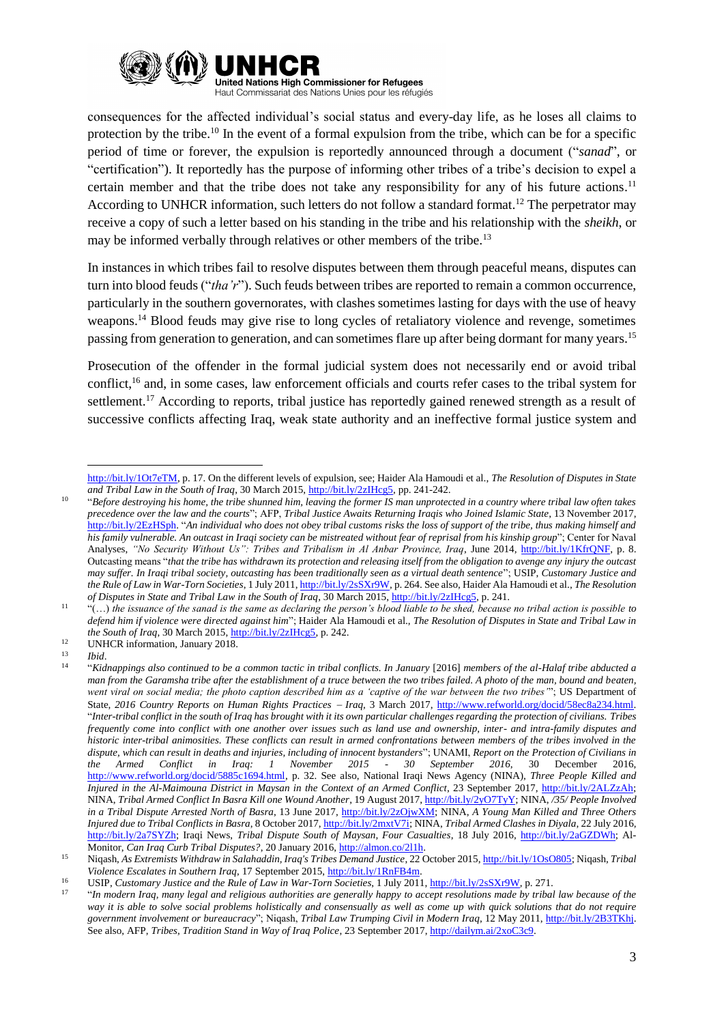

consequences for the affected individual's social status and every-day life, as he loses all claims to protection by the tribe.<sup>10</sup> In the event of a formal expulsion from the tribe, which can be for a specific period of time or forever, the expulsion is reportedly announced through a document ("*sanad*", or "certification"). It reportedly has the purpose of informing other tribes of a tribe's decision to expel a certain member and that the tribe does not take any responsibility for any of his future actions.<sup>11</sup> According to UNHCR information, such letters do not follow a standard format.<sup>12</sup> The perpetrator may receive a copy of such a letter based on his standing in the tribe and his relationship with the *sheikh*, or may be informed verbally through relatives or other members of the tribe.<sup>13</sup>

In instances in which tribes fail to resolve disputes between them through peaceful means, disputes can turn into blood feuds ("*tha'r*"). Such feuds between tribes are reported to remain a common occurrence, particularly in the southern governorates, with clashes sometimes lasting for days with the use of heavy weapons.<sup>14</sup> Blood feuds may give rise to long cycles of retaliatory violence and revenge, sometimes passing from generation to generation, and can sometimes flare up after being dormant for many years.<sup>15</sup>

Prosecution of the offender in the formal judicial system does not necessarily end or avoid tribal conflict,<sup>16</sup> and, in some cases, law enforcement officials and courts refer cases to the tribal system for settlement.<sup>17</sup> According to reports, tribal justice has reportedly gained renewed strength as a result of successive conflicts affecting Iraq, weak state authority and an ineffective formal justice system and

**.** 

[http://bit.ly/1Ot7eTM,](http://bit.ly/1Ot7eTM) p. 17. On the different levels of expulsion, see; Haider Ala Hamoudi et al., *The Resolution of Disputes in State and Tribal Law in the South of Iraq*, 30 March 2015[, http://bit.ly/2zIHcg5,](http://bit.ly/2zIHcg5) pp. 241-242.

<sup>10</sup> "*Before destroying his home, the tribe shunned him, leaving the former IS man unprotected in a country where tribal law often takes precedence over the law and the courts*"; AFP, *Tribal Justice Awaits Returning Iraqis who Joined Islamic State*, 13 November 2017, [http://bit.ly/2EzHSph.](http://bit.ly/2EzHSph) "*An individual who does not obey tribal customs risks the loss of support of the tribe, thus making himself and his family vulnerable. An outcast in Iraqi society can be mistreated without fear of reprisal from his kinship group*"; Center for Naval Analyses, *"No Security Without Us": Tribes and Tribalism in Al Anbar Province, Iraq*, June 2014, [http://bit.ly/1KfrQNF,](http://bit.ly/1KfrQNF) p. 8. Outcasting means "*that the tribe has withdrawn its protection and releasing itself from the obligation to avenge any injury the outcast may suffer. In Iraqi tribal society, outcasting has been traditionally seen as a virtual death sentence*"; USIP, *Customary Justice and the Rule of Law in War-Torn Societies*, 1 July 2011[, http://bit.ly/2sSXr9W,](http://bit.ly/2sSXr9W) p. 264. See also, Haider Ala Hamoudi et al., *The Resolution of Disputes in State and Tribal Law in the South of Iraq*, 30 March 2015[, http://bit.ly/2zIHcg5,](http://bit.ly/2zIHcg5) p. 241.

<sup>11</sup> "(…) *the issuance of the sanad is the same as declaring the person's blood liable to be shed, because no tribal action is possible to defend him if violence were directed against him*"; Haider Ala Hamoudi et al., *The Resolution of Disputes in State and Tribal Law in the South of Iraq*, 30 March 2015, [http://bit.ly/2zIHcg5,](http://bit.ly/2zIHcg5) p. 242.

<sup>&</sup>lt;sup>12</sup> UNHCR information, January 2018.

<sup>13</sup> *Ibid*. 14

<sup>&</sup>quot;*Kidnappings also continued to be a common tactic in tribal conflicts. In January* [2016] *members of the al-Halaf tribe abducted a man from the Garamsha tribe after the establishment of a truce between the two tribes failed. A photo of the man, bound and beaten, went viral on social media; the photo caption described him as a 'captive of the war between the two tribes'*"; US Department of State, *2016 Country Reports on Human Rights Practices Iraq*, 3 March 2017, [http://www.refworld.org/docid/58ec8a234.html.](http://www.refworld.org/docid/58ec8a234.html) "*Inter-tribal conflict in the south of Iraq has brought with it its own particular challenges regarding the protection of civilians. Tribes frequently come into conflict with one another over issues such as land use and ownership, inter- and intra-family disputes and historic inter-tribal animosities. These conflicts can result in armed confrontations between members of the tribes involved in the dispute, which can result in deaths and injuries, including of innocent bystanders*"; UNAMI, *Report on the Protection of Civilians in the Armed Conflict in Iraq: 1 November 2015 - 30 September 2016*, 30 December 2016, [http://www.refworld.org/docid/5885c1694.html,](http://www.refworld.org/docid/5885c1694.html) p. 32. See also, National Iraqi News Agency (NINA), *Three People Killed and Injured in the Al-Maimouna District in Maysan in the Context of an Armed Conflict*, 23 September 2017, [http://bit.ly/2ALZzAh;](http://bit.ly/2ALZzAh) NINA, *Tribal Armed Conflict In Basra Kill one Wound Another*, 19 August 2017[, http://bit.ly/2yO7TyY;](http://bit.ly/2yO7TyY) NINA, */35/ People Involved in a Tribal Dispute Arrested North of Basra*, 13 June 2017, [http://bit.ly/2zOjwXM;](http://bit.ly/2zOjwXM) NINA, *A Young Man Killed and Three Others Injured due to Tribal Conflicts in Basra*, 8 October 2017, [http://bit.ly/2mxtV7i;](http://bit.ly/2mxtV7i) NINA, *Tribal Armed Clashes in Diyala*, 22 July 2016, [http://bit.ly/2a7SYZh;](http://bit.ly/2a7SYZh) Iraqi News, *Tribal Dispute South of Maysan, Four Casualties*, 18 July 2016, [http://bit.ly/2aGZDWh;](http://bit.ly/2aGZDWh) Al-Monitor, *Can Iraq Curb Tribal Disputes?*, 20 January 2016, [http://almon.co/2l1h.](http://almon.co/2l1h)

<sup>15</sup> Niqash, *As Extremists Withdraw in Salahaddin, Iraq's Tribes Demand Justice*, 22 October 2015[, http://bit.ly/1OsO805;](file://///JORRHFNP001/departments/Protection/COI%20and%20research%20team/Individual%20queries/bialczyk/Desktop/AppData/Roaming/Microsoft/Word/bit.ly/1OsO805) Niqash, *Tribal Violence Escalates in Southern Iraq*, 17 September 2015[, http://bit.ly/1RnFB4m.](http://bit.ly/1RnFB4m)

<sup>16</sup> USIP, *Customary Justice and the Rule of Law in War-Torn Societies*, 1 July 2011[, http://bit.ly/2sSXr9W,](http://bit.ly/2sSXr9W) p. 271.

<sup>17</sup> "*In modern Iraq, many legal and religious authorities are generally happy to accept resolutions made by tribal law because of the way it is able to solve social problems holistically and consensually as well as come up with quick solutions that do not require government involvement or bureaucracy*"; Niqash, *Tribal Law Trumping Civil in Modern Iraq*, 12 May 2011, [http://bit.ly/2B3TKhj.](http://bit.ly/2B3TKhj) See also, AFP, *Tribes, Tradition Stand in Way of Iraq Police*, 23 September 2017[, http://dailym.ai/2xoC3c9.](http://dailym.ai/2xoC3c9)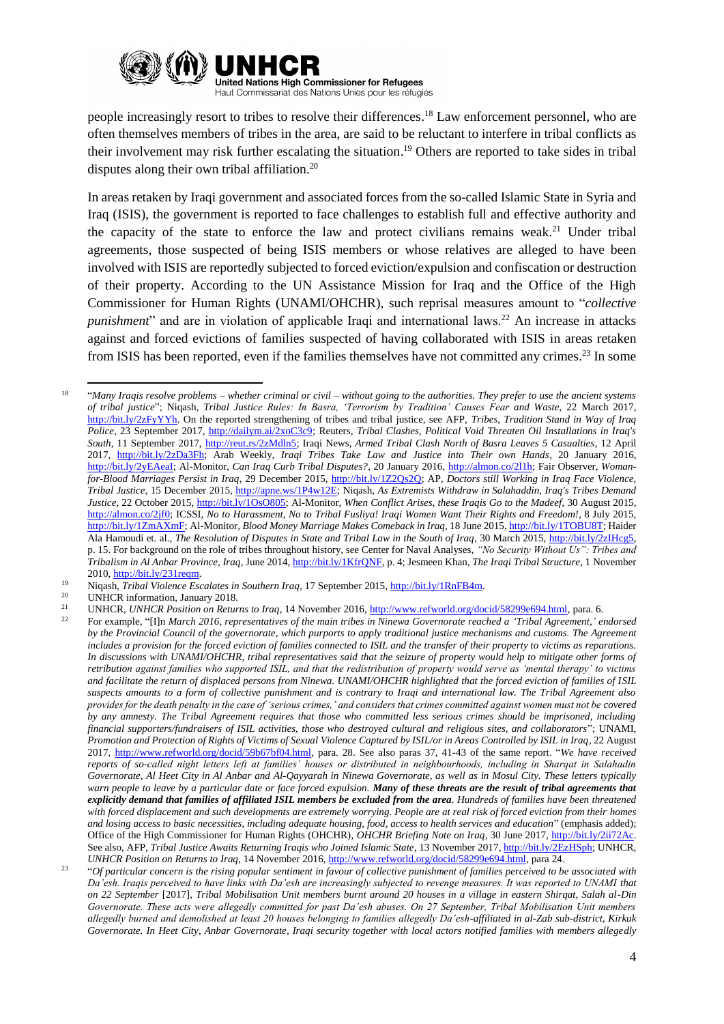

people increasingly resort to tribes to resolve their differences.<sup>18</sup> Law enforcement personnel, who are often themselves members of tribes in the area, are said to be reluctant to interfere in tribal conflicts as their involvement may risk further escalating the situation. <sup>19</sup> Others are reported to take sides in tribal disputes along their own tribal affiliation. 20

In areas retaken by Iraqi government and associated forces from the so-called Islamic State in Syria and Iraq (ISIS), the government is reported to face challenges to establish full and effective authority and the capacity of the state to enforce the law and protect civilians remains weak.<sup>21</sup> Under tribal agreements, those suspected of being ISIS members or whose relatives are alleged to have been involved with ISIS are reportedly subjected to forced eviction/expulsion and confiscation or destruction of their property. According to the UN Assistance Mission for Iraq and the Office of the High Commissioner for Human Rights (UNAMI/OHCHR), such reprisal measures amount to "*collective punishment*" and are in violation of applicable Iraqi and international laws.<sup>22</sup> An increase in attacks against and forced evictions of families suspected of having collaborated with ISIS in areas retaken from ISIS has been reported, even if the families themselves have not committed any crimes.<sup>23</sup> In some

- <sup>19</sup> Niqash, *Tribal Violence Escalates in Southern Iraq*, 17 September 2015, [http://bit.ly/1RnFB4m.](http://bit.ly/1RnFB4m)
- <sup>20</sup> UNHCR information, January 2018.<br><sup>21</sup> UNHCP *UNHCP* Position on Patur

**.** 

<sup>18</sup> "*Many Iraqis resolve problems – whether criminal or civil – without going to the authorities. They prefer to use the ancient systems of tribal justice*"; Niqash, *Tribal Justice Rules: In Basra, 'Terrorism by Tradition' Causes Fear and Waste*, 22 March 2017, [http://bit.ly/2zFyYYh.](http://bit.ly/2zFyYYh) On the reported strengthening of tribes and tribal justice, see AFP, *Tribes, Tradition Stand in Way of Iraq Police*, 23 September 2017, [http://dailym.ai/2xoC3c9;](http://dailym.ai/2xoC3c9) Reuters, *Tribal Clashes, Political Void Threaten Oil Installations in Iraq's South*, 11 September 2017, [http://reut.rs/2zMdln5;](http://reut.rs/2zMdln5) Iraqi News, *Armed Tribal Clash North of Basra Leaves 5 Casualties*, 12 April 2017, [http://bit.ly/2zDa3Fh;](http://bit.ly/2zDa3Fh) Arab Weekly, *Iraqi Tribes Take Law and Justice into Their own Hands*, 20 January 2016, [http://bit.ly/2yEAeaI;](http://bit.ly/2yEAeaI) Al-Monitor, *Can Iraq Curb Tribal Disputes?*, 20 January 2016[, http://almon.co/2l1h;](http://almon.co/2l1h) Fair Observer, *Womanfor-Blood Marriages Persist in Iraq*, 29 December 2015, [http://bit.ly/1Z2Qs2Q;](http://bit.ly/1Z2Qs2Q) AP, *Doctors still Working in Iraq Face Violence, Tribal Justice*, 15 December 2015[, http://apne.ws/1P4w12E;](http://apne.ws/1P4w12E) Niqash, *As Extremists Withdraw in Salahaddin, Iraq's Tribes Demand Justice*, 22 October 2015, [http://bit.ly/1OsO805;](http://bit.ly/1OsO805) Al-Monitor, *When Conflict Arises, these Iraqis Go to the Madeef*, 30 August 2015, [http://almon.co/2jf0;](http://almon.co/2jf0) ICSSI, *No to Harassment, No to Tribal Fusliya! Iraqi Women Want Their Rights and Freedom!*, 8 July 2015, [http://bit.ly/1ZmAXmF;](http://bit.ly/1ZmAXmF) Al-Monitor, *Blood Money Marriage Makes Comeback in Iraq*, 18 June 2015[, http://bit.ly/1TOBU8T;](http://almon.co/2gcy) Haider Ala Hamoudi et. al., *The Resolution of Disputes in State and Tribal Law in the South of Iraq*, 30 March 2015[, http://bit.ly/2zIHcg5,](http://bit.ly/2zIHcg5) p. 15. For background on the role of tribes throughout history, see Center for Naval Analyses, *"No Security Without Us": Tribes and Tribalism in Al Anbar Province, Iraq*, June 2014[, http://bit.ly/1KfrQNF,](http://bit.ly/1KfrQNF) p. 4; Jesmeen Khan, *The Iraqi Tribal Structure*, 1 November 2010[, http://bit.ly/231reqm.](http://bit.ly/231reqm)

<sup>21</sup> UNHCR, *UNHCR Position on Returns to Iraq*, 14 November 2016, [http://www.refworld.org/docid/58299e694.html,](http://www.refworld.org/docid/58299e694.html) para. 6.

<sup>22</sup> For example, "[I]n *March 2016, representatives of the main tribes in Ninewa Governorate reached a 'Tribal Agreement,' endorsed by the Provincial Council of the governorate, which purports to apply traditional justice mechanisms and customs. The Agreement includes a provision for the forced eviction of families connected to ISIL and the transfer of their property to victims as reparations. In discussions with UNAMI/OHCHR, tribal representatives said that the seizure of property would help to mitigate other forms of retribution against families who supported ISIL, and that the redistribution of property would serve as 'mental therapy' to victims and facilitate the return of displaced persons from Ninewa. UNAMI/OHCHR highlighted that the forced eviction of families of ISIL suspects amounts to a form of collective punishment and is contrary to Iraqi and international law. The Tribal Agreement also provides for the death penalty in the case of 'serious crimes,' and considers that crimes committed against women must not be covered by any amnesty. The Tribal Agreement requires that those who committed less serious crimes should be imprisoned, including financial supporters/fundraisers of ISIL activities, those who destroyed cultural and religious sites, and collaborators*"; UNAMI, *Promotion and Protection of Rights of Victims of Sexual Violence Captured by ISIL/or in Areas Controlled by ISIL in Iraq*, 22 August 2017, [http://www.refworld.org/docid/59b67bf04.html,](http://www.refworld.org/docid/59b67bf04.html) para. 28. See also paras 37, 41-43 of the same report. "*We have received reports of so-called night letters left at families' houses or distributed in neighbourhoods, including in Sharqat in Salahadin Governorate, Al Heet City in Al Anbar and Al-Qayyarah in Ninewa Governorate, as well as in Mosul City. These letters typically*  warn people to leave by a particular date or face forced expulsion. Many of these threats are the result of tribal agreements that *explicitly demand that families of affiliated ISIL members be excluded from the area. Hundreds of families have been threatened with forced displacement and such developments are extremely worrying. People are at real risk of forced eviction from their homes and losing access to basic necessities, including adequate housing, food, access to health services and education*" (emphasis added); Office of the High Commissioner for Human Rights (OHCHR), *OHCHR Briefing Note on Iraq*, 30 June 2017[, http://bit.ly/2ii72Ac.](http://bit.ly/2ii72Ac) See also, AFP, *Tribal Justice Awaits Returning Iraqis who Joined Islamic State*, 13 November 2017[, http://bit.ly/2EzHSph;](http://bit.ly/2EzHSph) UNHCR, *UNHCR Position on Returns to Iraq*, 14 November 2016[, http://www.refworld.org/docid/58299e694.html,](http://www.refworld.org/docid/58299e694.html) para 24.

<sup>23</sup> "*Of particular concern is the rising popular sentiment in favour of collective punishment of families perceived to be associated with Da'esh. Iraqis perceived to have links with Da'esh are increasingly subjected to revenge measures. It was reported to UNAMI that on 22 September* [2017]*, Tribal Mobilisation Unit members burnt around 20 houses in a village in eastern Shirqat, Salah al-Din Governorate. These acts were allegedly committed for past Da'esh abuses. On 27 September, Tribal Mobilisation Unit members allegedly burned and demolished at least 20 houses belonging to families allegedly Da'esh-affiliated in al-Zab sub-district, Kirkuk Governorate. In Heet City, Anbar Governorate, Iraqi security together with local actors notified families with members allegedly*